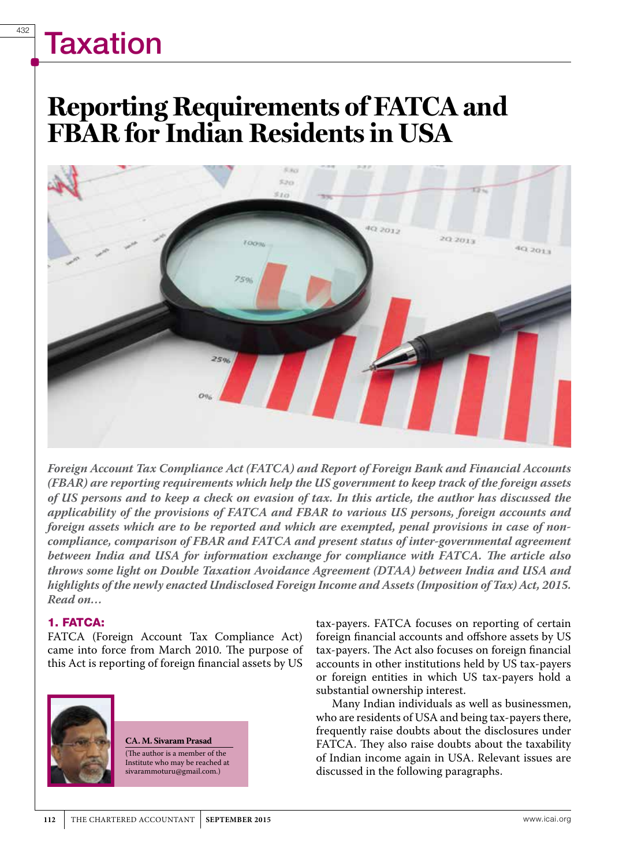### **Reporting Requirements of FATCA and FBAR for Indian Residents in USA**



*Foreign Account Tax Compliance Act (FATCA) and Report of Foreign Bank and Financial Accounts (FBAR) are reporting requirements which help the US government to keep track of the foreign assets of US persons and to keep a check on evasion of tax. In this article, the author has discussed the applicability of the provisions of FATCA and FBAR to various US persons, foreign accounts and foreign assets which are to be reported and which are exempted, penal provisions in case of noncompliance, comparison of FBAR and FATCA and present status of inter-governmental agreement between India and USA for information exchange for compliance with FATCA. The article also throws some light on Double Taxation Avoidance Agreement (DTAA) between India and USA and highlights of the newly enacted Undisclosed Foreign Income and Assets (Imposition of Tax) Act, 2015. Read on…*

#### 1. FATCA:

FATCA (Foreign Account Tax Compliance Act) came into force from March 2010. The purpose of this Act is reporting of foreign financial assets by US



**CA. M. Sivaram Prasad** (The author is a member of the Institute who may be reached at sivarammoturu@gmail.com.)

tax-payers. FATCA focuses on reporting of certain foreign financial accounts and offshore assets by US tax-payers. The Act also focuses on foreign financial accounts in other institutions held by US tax-payers or foreign entities in which US tax-payers hold a substantial ownership interest.

Many Indian individuals as well as businessmen, who are residents of USA and being tax-payers there, frequently raise doubts about the disclosures under FATCA. They also raise doubts about the taxability of Indian income again in USA. Relevant issues are discussed in the following paragraphs.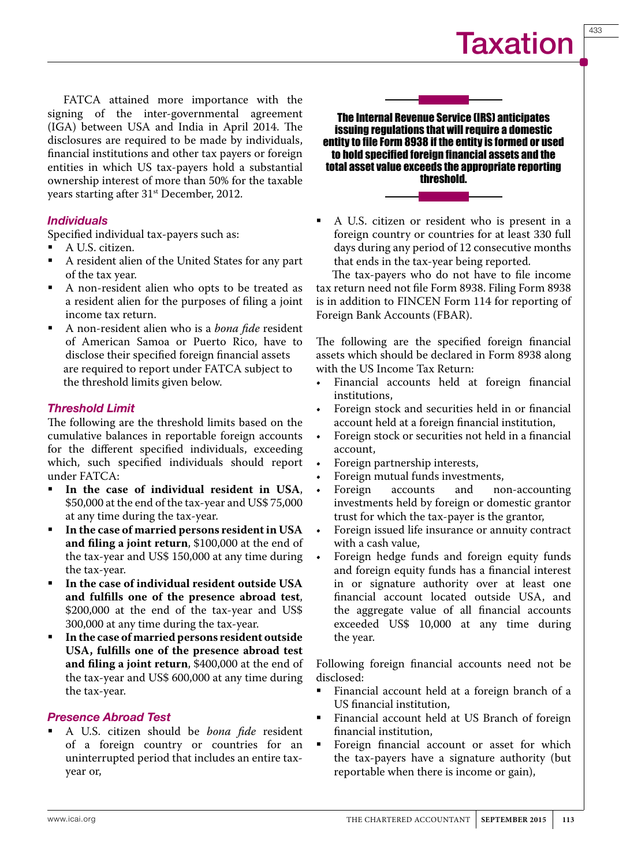FATCA attained more importance with the signing of the inter-governmental agreement (IGA) between USA and India in April 2014. The disclosures are required to be made by individuals, financial institutions and other tax payers or foreign entities in which US tax-payers hold a substantial ownership interest of more than 50% for the taxable years starting after 31<sup>st</sup> December, 2012.

#### **Individuals**

Specified individual tax-payers such as:

- A U.S. citizen.
- A resident alien of the United States for any part of the tax year.
- A non-resident alien who opts to be treated as a resident alien for the purposes of filing a joint income tax return.
- A non-resident alien who is a *bona fide* resident of American Samoa or Puerto Rico, have to disclose their specified foreign financial assets are required to report under FATCA subject to the threshold limits given below.

#### Threshold Limit

The following are the threshold limits based on the cumulative balances in reportable foreign accounts for the different specified individuals, exceeding which, such specified individuals should report under FATCA:

- **In the case of individual resident in USA**, \$50,000 at the end of the tax-year and US\$ 75,000 at any time during the tax-year.
- **In the case of married persons resident in USA and filing a joint return**, \$100,000 at the end of the tax-year and US\$ 150,000 at any time during the tax-year.
- **In the case of individual resident outside USA and fulfills one of the presence abroad test**, \$200,000 at the end of the tax-year and US\$ 300,000 at any time during the tax-year.
- **In the case of married persons resident outside USA, fulfills one of the presence abroad test and filing a joint return**, \$400,000 at the end of the tax-year and US\$ 600,000 at any time during the tax-year.

#### Presence Abroad Test

 A U.S. citizen should be *bona fide* resident of a foreign country or countries for an uninterrupted period that includes an entire taxyear or,

The Internal Revenue Service (IRS) anticipates issuing regulations that will require a domestic entity to file Form 8938 if the entity is formed or used to hold specified foreign financial assets and the total asset value exceeds the appropriate reporting threshold.

 A U.S. citizen or resident who is present in a foreign country or countries for at least 330 full days during any period of 12 consecutive months that ends in the tax-year being reported.

The tax-payers who do not have to file income tax return need not file Form 8938. Filing Form 8938 is in addition to FINCEN Form 114 for reporting of Foreign Bank Accounts (FBAR).

The following are the specified foreign financial assets which should be declared in Form 8938 along with the US Income Tax Return:

- Financial accounts held at foreign financial institutions,
- Foreign stock and securities held in or financial account held at a foreign financial institution,
- Foreign stock or securities not held in a financial account,
- Foreign partnership interests,
- Foreign mutual funds investments,<br>Foreign accounts and no
- non-accounting investments held by foreign or domestic grantor trust for which the tax-payer is the grantor,
- Foreign issued life insurance or annuity contract with a cash value,
- Foreign hedge funds and foreign equity funds and foreign equity funds has a financial interest in or signature authority over at least one financial account located outside USA, and the aggregate value of all financial accounts exceeded US\$ 10,000 at any time during the year.

Following foreign financial accounts need not be disclosed:

- Financial account held at a foreign branch of a US financial institution,
- Financial account held at US Branch of foreign financial institution,
- **Foreign financial account or asset for which** the tax-payers have a signature authority (but reportable when there is income or gain),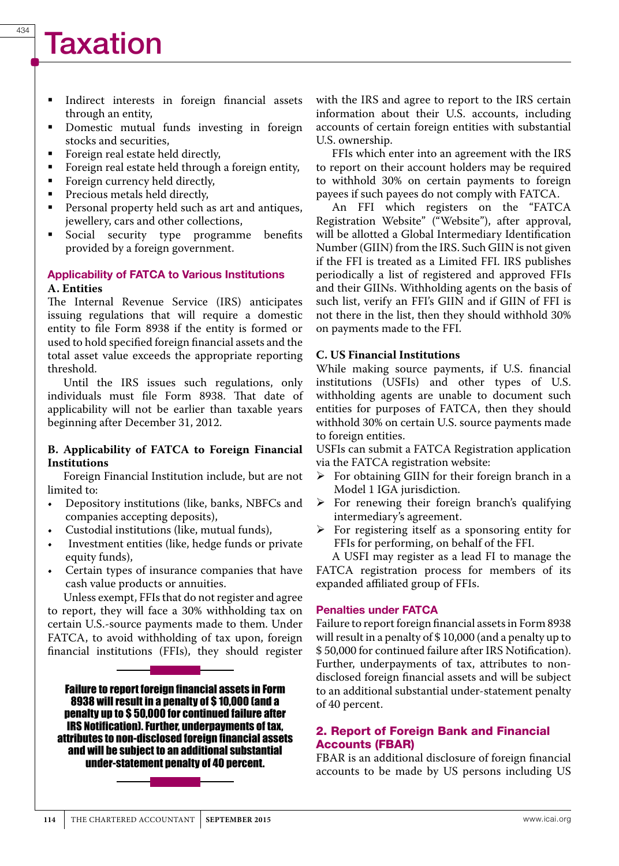- Indirect interests in foreign financial assets through an entity,
- **Domestic mutual funds investing in foreign** stocks and securities,
- Foreign real estate held directly,<br>■ Foreign real estate held through
- Foreign real estate held through a foreign entity,<br>Foreign currency held directly
- Foreign currency held directly,<br>Precious metals held directly
- Precious metals held directly,<br>Personal property held such a
- Personal property held such as art and antiques, jewellery, cars and other collections,
- Social security type programme benefits provided by a foreign government.

#### Applicability of FATCA to Various Institutions **A. Entities**

The Internal Revenue Service (IRS) anticipates issuing regulations that will require a domestic entity to file Form 8938 if the entity is formed or used to hold specified foreign financial assets and the total asset value exceeds the appropriate reporting threshold.

Until the IRS issues such regulations, only individuals must file Form 8938. That date of applicability will not be earlier than taxable years beginning after December 31, 2012.

#### **B. Applicability of FATCA to Foreign Financial Institutions**

Foreign Financial Institution include, but are not limited to:

- • Depository institutions (like, banks, NBFCs and companies accepting deposits),
- Custodial institutions (like, mutual funds),
- Investment entities (like, hedge funds or private equity funds),
- • Certain types of insurance companies that have cash value products or annuities.

Unless exempt, FFIs that do not register and agree to report, they will face a 30% withholding tax on certain U.S.-source payments made to them. Under FATCA, to avoid withholding of tax upon, foreign financial institutions (FFIs), they should register

Failure to report foreign financial assets in Form 8938 will result in a penalty of \$ 10,000 (and a penalty up to \$ 50,000 for continued failure after IRS Notification). Further, underpayments of tax, attributes to non-disclosed foreign financial assets and will be subject to an additional substantial under-statement penalty of 40 percent.

with the IRS and agree to report to the IRS certain information about their U.S. accounts, including accounts of certain foreign entities with substantial U.S. ownership.

FFIs which enter into an agreement with the IRS to report on their account holders may be required to withhold 30% on certain payments to foreign payees if such payees do not comply with FATCA.

An FFI which registers on the "FATCA Registration Website" ("Website"), after approval, will be allotted a Global Intermediary Identification Number (GIIN) from the IRS. Such GIIN is not given if the FFI is treated as a Limited FFI. IRS publishes periodically a list of registered and approved FFIs and their GIINs. Withholding agents on the basis of such list, verify an FFI's GIIN and if GIIN of FFI is not there in the list, then they should withhold 30% on payments made to the FFI.

#### **C. US Financial Institutions**

While making source payments, if U.S. financial institutions (USFIs) and other types of U.S. withholding agents are unable to document such entities for purposes of FATCA, then they should withhold 30% on certain U.S. source payments made to foreign entities.

USFIs can submit a FATCA Registration application via the FATCA registration website:

- $\triangleright$  For obtaining GIIN for their foreign branch in a Model 1 IGA jurisdiction.
- $\triangleright$  For renewing their foreign branch's qualifying intermediary's agreement.
- $\triangleright$  For registering itself as a sponsoring entity for FFIs for performing, on behalf of the FFI.

A USFI may register as a lead FI to manage the FATCA registration process for members of its expanded affiliated group of FFIs.

#### Penalties under FATCA

Failure to report foreign financial assets in Form 8938 will result in a penalty of \$10,000 (and a penalty up to \$ 50,000 for continued failure after IRS Notification). Further, underpayments of tax, attributes to nondisclosed foreign financial assets and will be subject to an additional substantial under-statement penalty of 40 percent.

#### 2. Report of Foreign Bank and Financial Accounts (FBAR)

FBAR is an additional disclosure of foreign financial accounts to be made by US persons including US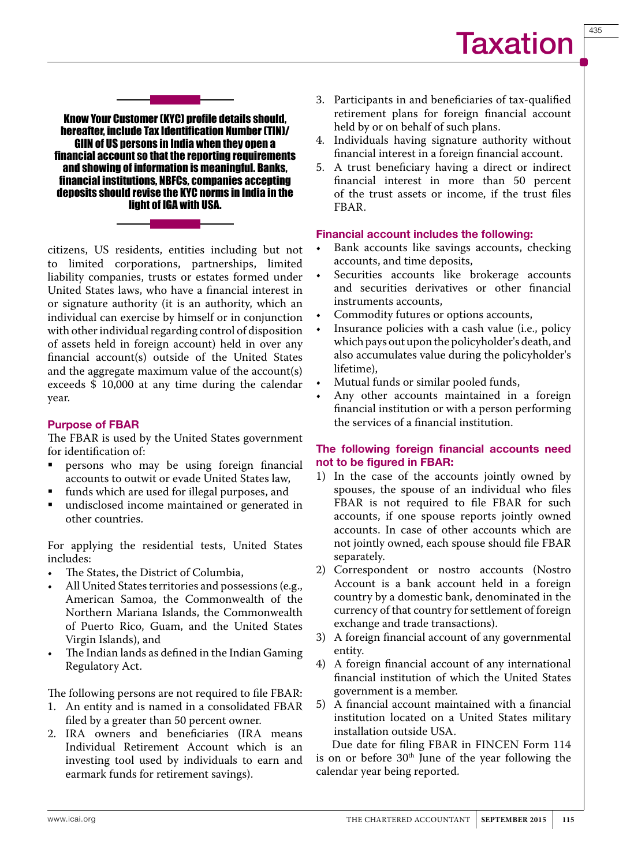Know Your Customer (KYC) profile details should, hereafter, include Tax Identification Number (TIN)/ GIIN of US persons in India when they open a financial account so that the reporting requirements

and showing of information is meaningful. Banks, financial institutions, NBFCs, companies accepting deposits should revise the KYC norms in India in the light of IGA with USA.



citizens, US residents, entities including but not to limited corporations, partnerships, limited liability companies, trusts or estates formed under United States laws, who have a financial interest in or signature authority (it is an authority, which an individual can exercise by himself or in conjunction with other individual regarding control of disposition of assets held in foreign account) held in over any financial account(s) outside of the United States and the aggregate maximum value of the account(s) exceeds \$ 10,000 at any time during the calendar year.

#### Purpose of FBAR

The FBAR is used by the United States government for identification of:

- persons who may be using foreign financial accounts to outwit or evade United States law,
- funds which are used for illegal purposes, and
- undisclosed income maintained or generated in other countries.

For applying the residential tests, United States includes:

- • The States, the District of Columbia,
- All United States territories and possessions (e.g., American Samoa, the Commonwealth of the Northern Mariana Islands, the Commonwealth of Puerto Rico, Guam, and the United States Virgin Islands), and
- The Indian lands as defined in the Indian Gaming Regulatory Act.

The following persons are not required to file FBAR:

- 1. An entity and is named in a consolidated FBAR filed by a greater than 50 percent owner.
- 2. IRA owners and beneficiaries (IRA means Individual Retirement Account which is an investing tool used by individuals to earn and earmark funds for retirement savings).
- 3. Participants in and beneficiaries of tax-qualified retirement plans for foreign financial account held by or on behalf of such plans.
- 4. Individuals having signature authority without financial interest in a foreign financial account.
- 5. A trust beneficiary having a direct or indirect financial interest in more than 50 percent of the trust assets or income, if the trust files FBAR.

#### Financial account includes the following:

- Bank accounts like savings accounts, checking accounts, and time deposits,
- Securities accounts like brokerage accounts and securities derivatives or other financial instruments accounts,
- Commodity futures or options accounts,
- Insurance policies with a cash value (i.e., policy which pays out upon the policyholder's death, and also accumulates value during the policyholder's lifetime),
- Mutual funds or similar pooled funds,
- Any other accounts maintained in a foreign financial institution or with a person performing the services of a financial institution.

#### The following foreign financial accounts need not to be figured in FBAR:

- 1) In the case of the accounts jointly owned by spouses, the spouse of an individual who files FBAR is not required to file FBAR for such accounts, if one spouse reports jointly owned accounts. In case of other accounts which are not jointly owned, each spouse should file FBAR separately.
- 2) Correspondent or nostro accounts (Nostro Account is a bank account held in a foreign country by a domestic bank, denominated in the currency of that country for settlement of foreign exchange and trade transactions).
- 3) A foreign financial account of any governmental entity.
- 4) A foreign financial account of any international financial institution of which the United States government is a member.
- 5) A financial account maintained with a financial institution located on a United States military installation outside USA.

Due date for filing FBAR in FINCEN Form 114 is on or before  $30<sup>th</sup>$  June of the year following the calendar year being reported.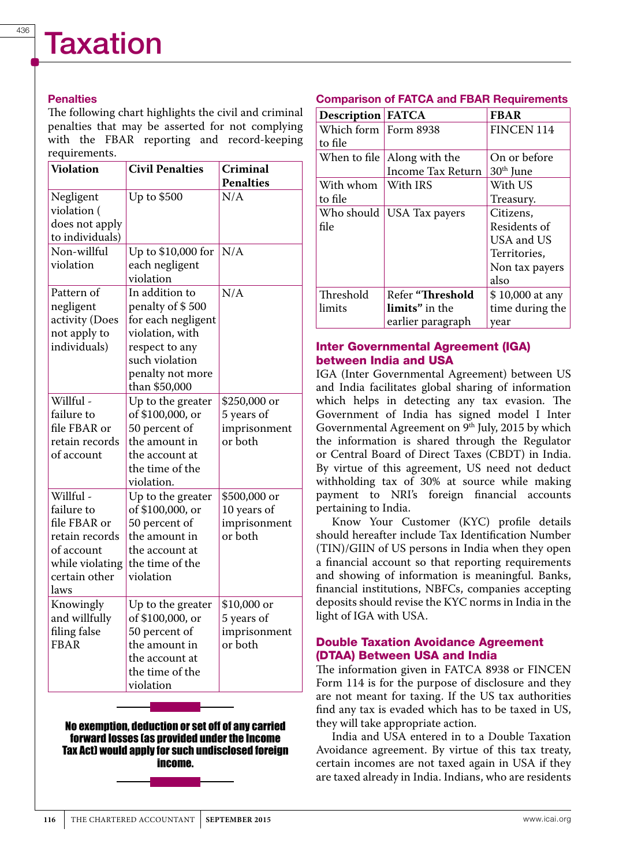#### **Penalties**

The following chart highlights the civil and criminal penalties that may be asserted for not complying with the FBAR reporting and record-keeping requirements.

| <b>Violation</b>                                                                                                    | <b>Civil Penalties</b>                                                                                                                               | Criminal                                               |
|---------------------------------------------------------------------------------------------------------------------|------------------------------------------------------------------------------------------------------------------------------------------------------|--------------------------------------------------------|
|                                                                                                                     |                                                                                                                                                      | <b>Penalties</b>                                       |
| Negligent<br>violation (<br>does not apply<br>to individuals)                                                       | Up to \$500                                                                                                                                          | N/A                                                    |
| Non-willful<br>violation                                                                                            | Up to \$10,000 for<br>each negligent<br>violation                                                                                                    | N/A                                                    |
| Pattern of<br>negligent<br>activity (Does<br>not apply to<br>individuals)                                           | In addition to<br>penalty of \$500<br>for each negligent<br>violation, with<br>respect to any<br>such violation<br>penalty not more<br>than \$50,000 | N/A                                                    |
| Willful -<br>failure to<br>file FBAR or<br>retain records<br>of account                                             | Up to the greater<br>of \$100,000, or<br>50 percent of<br>the amount in<br>the account at<br>the time of the<br>violation.                           | \$250,000 or<br>5 years of<br>imprisonment<br>or both  |
| Willful -<br>failure to<br>file FBAR or<br>retain records<br>of account<br>while violating<br>certain other<br>laws | Up to the greater<br>of \$100,000, or<br>50 percent of<br>the amount in<br>the account at<br>the time of the<br>violation                            | \$500,000 or<br>10 years of<br>imprisonment<br>or both |
| Knowingly<br>and willfully<br>filing false<br><b>FBAR</b>                                                           | Up to the greater<br>of \$100,000, or<br>50 percent of<br>the amount in<br>the account at<br>the time of the<br>violation                            | \$10,000 or<br>5 years of<br>imprisonment<br>or both   |

No exemption, deduction or set off of any carried forward losses (as provided under the Income Tax Act) would apply for such undisclosed foreign income.

#### Comparison of FATCA and FBAR Requirements

| <b>Description FATCA</b> |                             | <b>FBAR</b>           |
|--------------------------|-----------------------------|-----------------------|
| Which form   Form 8938   |                             | <b>FINCEN 114</b>     |
| to file                  |                             |                       |
| When to file $ $         | Along with the              | On or before          |
|                          | <b>Income Tax Return</b>    | 30 <sup>th</sup> June |
| With whom                | With IRS                    | With US               |
| to file                  |                             | Treasury.             |
|                          | Who should   USA Tax payers | Citizens,             |
| file                     |                             | Residents of          |
|                          |                             | USA and US            |
|                          |                             | Territories,          |
|                          |                             | Non tax payers        |
|                          |                             | also                  |
| Threshold                | Refer "Threshold            | \$10,000 at any       |
| limits                   | <b>limits</b> " in the      | time during the       |
|                          | earlier paragraph           | year                  |

#### Inter Governmental Agreement (IGA) between India and USA

IGA (Inter Governmental Agreement) between US and India facilitates global sharing of information which helps in detecting any tax evasion. The Government of India has signed model I Inter Governmental Agreement on  $9<sup>th</sup>$  July, 2015 by which the information is shared through the Regulator or Central Board of Direct Taxes (CBDT) in India. By virtue of this agreement, US need not deduct withholding tax of 30% at source while making payment to NRI's foreign financial accounts pertaining to India.

Know Your Customer (KYC) profile details should hereafter include Tax Identification Number (TIN)/GIIN of US persons in India when they open a financial account so that reporting requirements and showing of information is meaningful. Banks, financial institutions, NBFCs, companies accepting deposits should revise the KYC norms in India in the light of IGA with USA.

#### Double Taxation Avoidance Agreement (DTAA) Between USA and India

The information given in FATCA 8938 or FINCEN Form 114 is for the purpose of disclosure and they are not meant for taxing. If the US tax authorities find any tax is evaded which has to be taxed in US, they will take appropriate action.

India and USA entered in to a Double Taxation Avoidance agreement. By virtue of this tax treaty, certain incomes are not taxed again in USA if they are taxed already in India. Indians, who are residents